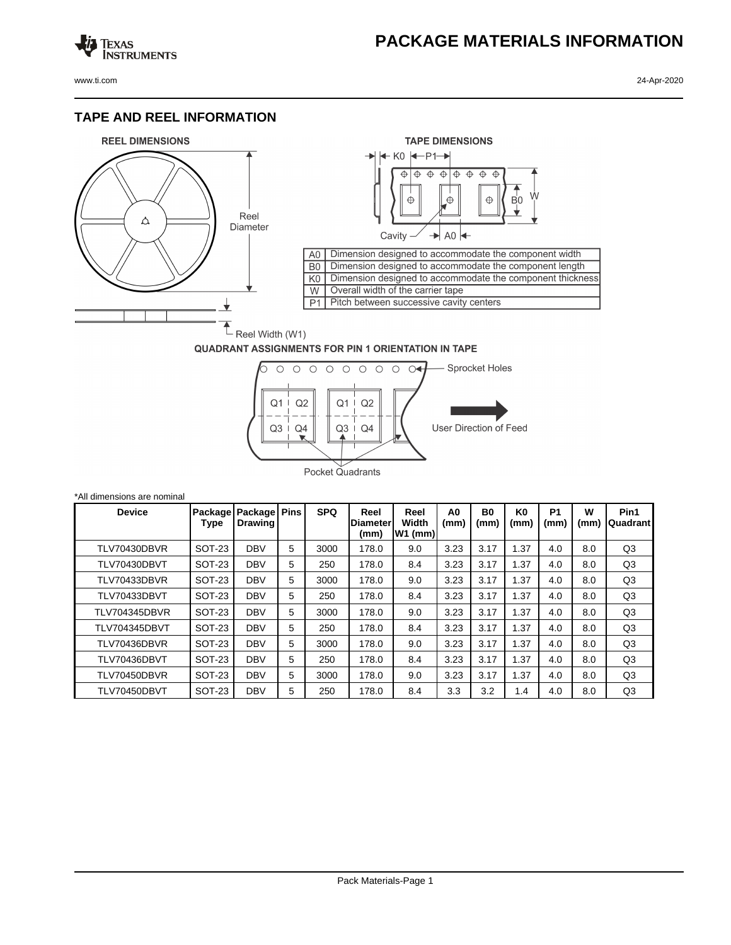## **PACKAGE MATERIALS INFORMATION**

Texas<br>Instruments

## **TAPE AND REEL INFORMATION**





## **QUADRANT ASSIGNMENTS FOR PIN 1 ORIENTATION IN TAPE**



| *All dimensions are nominal |                 |                                |   |            |                                 |                            |                        |                        |                        |                   |           |                  |
|-----------------------------|-----------------|--------------------------------|---|------------|---------------------------------|----------------------------|------------------------|------------------------|------------------------|-------------------|-----------|------------------|
| <b>Device</b>               | Package<br>Type | Package Pins<br><b>Drawing</b> |   | <b>SPQ</b> | Reel<br><b>Diameter</b><br>(mm) | Reel<br>Width<br>$W1$ (mm) | A <sub>0</sub><br>(mm) | B <sub>0</sub><br>(mm) | K <sub>0</sub><br>(mm) | <b>P1</b><br>(mm) | W<br>(mm) | Pin1<br>Quadrant |
| TLV70430DBVR                | <b>SOT-23</b>   | <b>DBV</b>                     | 5 | 3000       | 178.0                           | 9.0                        | 3.23                   | 3.17                   | 1.37                   | 4.0               | 8.0       | Q <sub>3</sub>   |
| TLV70430DBVT                | SOT-23          | <b>DBV</b>                     | 5 | 250        | 178.0                           | 8.4                        | 3.23                   | 3.17                   | 1.37                   | 4.0               | 8.0       | Q3               |
| TLV70433DBVR                | SOT-23          | <b>DBV</b>                     | 5 | 3000       | 178.0                           | 9.0                        | 3.23                   | 3.17                   | 1.37                   | 4.0               | 8.0       | Q3               |
| TLV70433DBVT                | <b>SOT-23</b>   | <b>DBV</b>                     | 5 | 250        | 178.0                           | 8.4                        | 3.23                   | 3.17                   | 1.37                   | 4.0               | 8.0       | Q <sub>3</sub>   |
| <b>TLV704345DBVR</b>        | SOT-23          | <b>DBV</b>                     | 5 | 3000       | 178.0                           | 9.0                        | 3.23                   | 3.17                   | 1.37                   | 4.0               | 8.0       | Q3               |
| <b>TLV704345DBVT</b>        | SOT-23          | <b>DBV</b>                     | 5 | 250        | 178.0                           | 8.4                        | 3.23                   | 3.17                   | 1.37                   | 4.0               | 8.0       | Q <sub>3</sub>   |
| TLV70436DBVR                | <b>SOT-23</b>   | <b>DBV</b>                     | 5 | 3000       | 178.0                           | 9.0                        | 3.23                   | 3.17                   | 1.37                   | 4.0               | 8.0       | Q <sub>3</sub>   |
| TLV70436DBVT                | SOT-23          | <b>DBV</b>                     | 5 | 250        | 178.0                           | 8.4                        | 3.23                   | 3.17                   | 1.37                   | 4.0               | 8.0       | Q3               |
| TLV70450DBVR                | SOT-23          | <b>DBV</b>                     | 5 | 3000       | 178.0                           | 9.0                        | 3.23                   | 3.17                   | 1.37                   | 4.0               | 8.0       | Q3               |
| TLV70450DBVT                | <b>SOT-23</b>   | <b>DBV</b>                     | 5 | 250        | 178.0                           | 8.4                        | 3.3                    | 3.2                    | 1.4                    | 4.0               | 8.0       | Q <sub>3</sub>   |